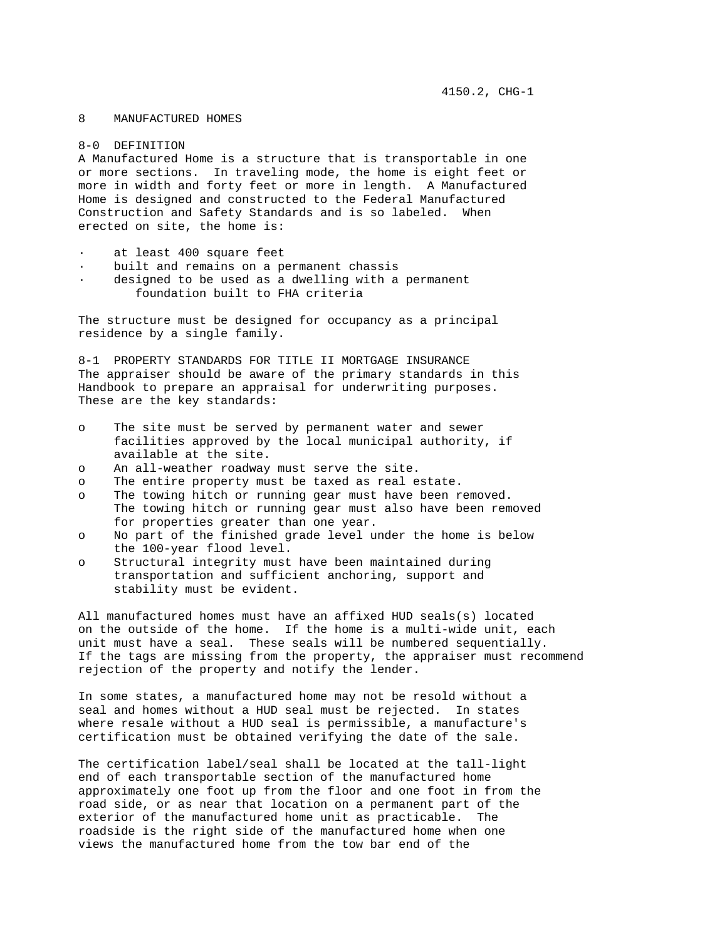## 8 MANUFACTURED HOMES

8-0 DEFINITION

A Manufactured Home is a structure that is transportable in one or more sections. In traveling mode, the home is eight feet or more in width and forty feet or more in length. A Manufactured Home is designed and constructed to the Federal Manufactured Construction and Safety Standards and is so labeled. When erected on site, the home is:

- at least 400 square feet
- built and remains on a permanent chassis
- designed to be used as a dwelling with a permanent foundation built to FHA criteria

The structure must be designed for occupancy as a principal residence by a single family.

8-1 PROPERTY STANDARDS FOR TITLE II MORTGAGE INSURANCE The appraiser should be aware of the primary standards in this Handbook to prepare an appraisal for underwriting purposes. These are the key standards:

- o The site must be served by permanent water and sewer facilities approved by the local municipal authority, if available at the site.
- o An all-weather roadway must serve the site.
- o The entire property must be taxed as real estate.
- o The towing hitch or running gear must have been removed. The towing hitch or running gear must also have been removed for properties greater than one year.
- o No part of the finished grade level under the home is below the 100-year flood level.
- o Structural integrity must have been maintained during transportation and sufficient anchoring, support and stability must be evident.

All manufactured homes must have an affixed HUD seals(s) located on the outside of the home. If the home is a multi-wide unit, each unit must have a seal. These seals will be numbered sequentially. If the tags are missing from the property, the appraiser must recommend rejection of the property and notify the lender.

In some states, a manufactured home may not be resold without a seal and homes without a HUD seal must be rejected. In states where resale without a HUD seal is permissible, a manufacture's certification must be obtained verifying the date of the sale.

The certification label/seal shall be located at the tall-light end of each transportable section of the manufactured home approximately one foot up from the floor and one foot in from the road side, or as near that location on a permanent part of the exterior of the manufactured home unit as practicable. The roadside is the right side of the manufactured home when one views the manufactured home from the tow bar end of the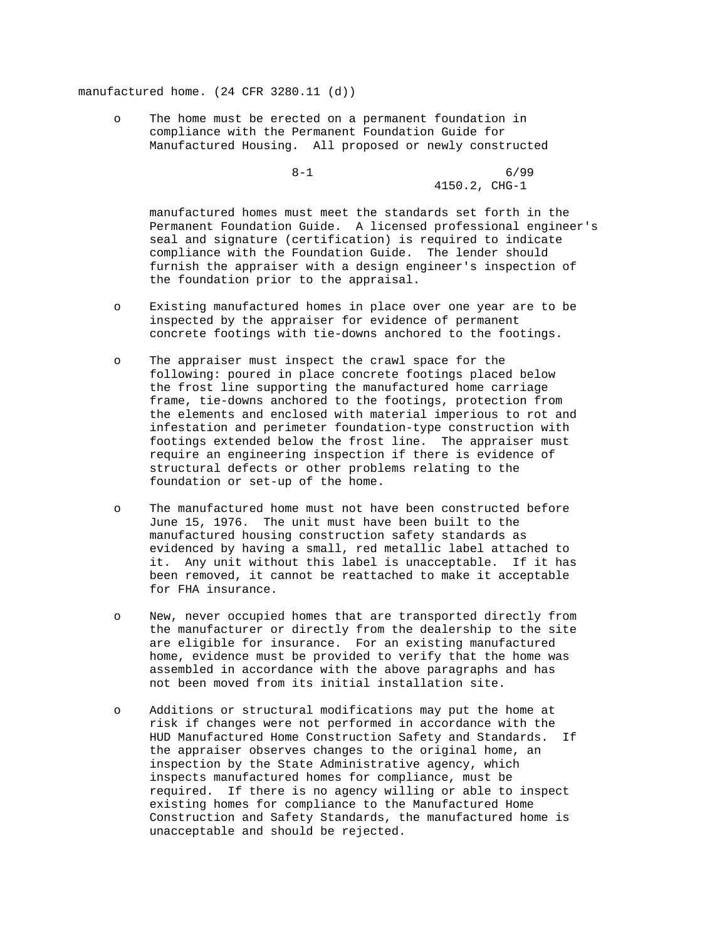## manufactured home. (24 CFR 3280.11 (d))

 o The home must be erected on a permanent foundation in compliance with the Permanent Foundation Guide for Manufactured Housing. All proposed or newly constructed

 8-1 6/99 4150.2, CHG-1

> manufactured homes must meet the standards set forth in the Permanent Foundation Guide. A licensed professional engineer's seal and signature (certification) is required to indicate compliance with the Foundation Guide. The lender should furnish the appraiser with a design engineer's inspection of the foundation prior to the appraisal.

- o Existing manufactured homes in place over one year are to be inspected by the appraiser for evidence of permanent concrete footings with tie-downs anchored to the footings.
- o The appraiser must inspect the crawl space for the following: poured in place concrete footings placed below the frost line supporting the manufactured home carriage frame, tie-downs anchored to the footings, protection from the elements and enclosed with material imperious to rot and infestation and perimeter foundation-type construction with footings extended below the frost line. The appraiser must require an engineering inspection if there is evidence of structural defects or other problems relating to the foundation or set-up of the home.
- o The manufactured home must not have been constructed before June 15, 1976. The unit must have been built to the manufactured housing construction safety standards as evidenced by having a small, red metallic label attached to it. Any unit without this label is unacceptable. If it has been removed, it cannot be reattached to make it acceptable for FHA insurance.
- o New, never occupied homes that are transported directly from the manufacturer or directly from the dealership to the site are eligible for insurance. For an existing manufactured home, evidence must be provided to verify that the home was assembled in accordance with the above paragraphs and has not been moved from its initial installation site.
- o Additions or structural modifications may put the home at risk if changes were not performed in accordance with the HUD Manufactured Home Construction Safety and Standards. If the appraiser observes changes to the original home, an inspection by the State Administrative agency, which inspects manufactured homes for compliance, must be required. If there is no agency willing or able to inspect existing homes for compliance to the Manufactured Home Construction and Safety Standards, the manufactured home is unacceptable and should be rejected.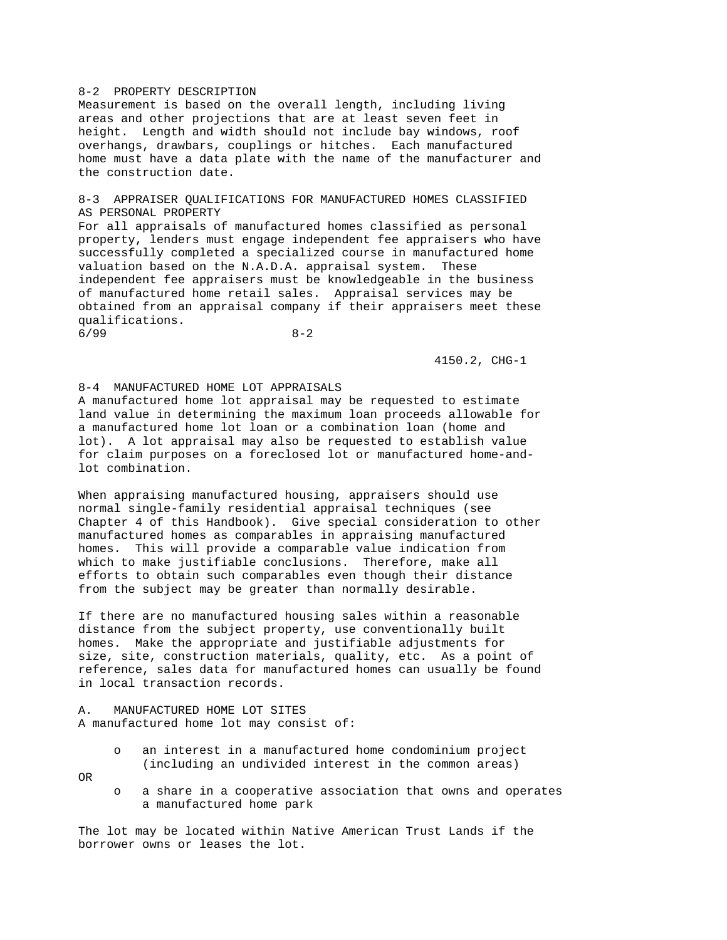## 8-2 PROPERTY DESCRIPTION

Measurement is based on the overall length, including living areas and other projections that are at least seven feet in height. Length and width should not include bay windows, roof overhangs, drawbars, couplings or hitches. Each manufactured home must have a data plate with the name of the manufacturer and the construction date.

8-3 APPRAISER QUALIFICATIONS FOR MANUFACTURED HOMES CLASSIFIED AS PERSONAL PROPERTY

For all appraisals of manufactured homes classified as personal property, lenders must engage independent fee appraisers who have successfully completed a specialized course in manufactured home valuation based on the N.A.D.A. appraisal system. These independent fee appraisers must be knowledgeable in the business of manufactured home retail sales. Appraisal services may be obtained from an appraisal company if their appraisers meet these qualifications.  $6/99$  8-2

4150.2, CHG-1

8-4 MANUFACTURED HOME LOT APPRAISALS

A manufactured home lot appraisal may be requested to estimate land value in determining the maximum loan proceeds allowable for a manufactured home lot loan or a combination loan (home and lot). A lot appraisal may also be requested to establish value for claim purposes on a foreclosed lot or manufactured home-andlot combination.

When appraising manufactured housing, appraisers should use normal single-family residential appraisal techniques (see Chapter 4 of this Handbook). Give special consideration to other manufactured homes as comparables in appraising manufactured homes. This will provide a comparable value indication from which to make justifiable conclusions. Therefore, make all efforts to obtain such comparables even though their distance from the subject may be greater than normally desirable.

If there are no manufactured housing sales within a reasonable distance from the subject property, use conventionally built homes. Make the appropriate and justifiable adjustments for size, site, construction materials, quality, etc. As a point of reference, sales data for manufactured homes can usually be found in local transaction records.

A. MANUFACTURED HOME LOT SITES A manufactured home lot may consist of:

> o an interest in a manufactured home condominium project (including an undivided interest in the common areas)

OR

 o a share in a cooperative association that owns and operates a manufactured home park

The lot may be located within Native American Trust Lands if the borrower owns or leases the lot.